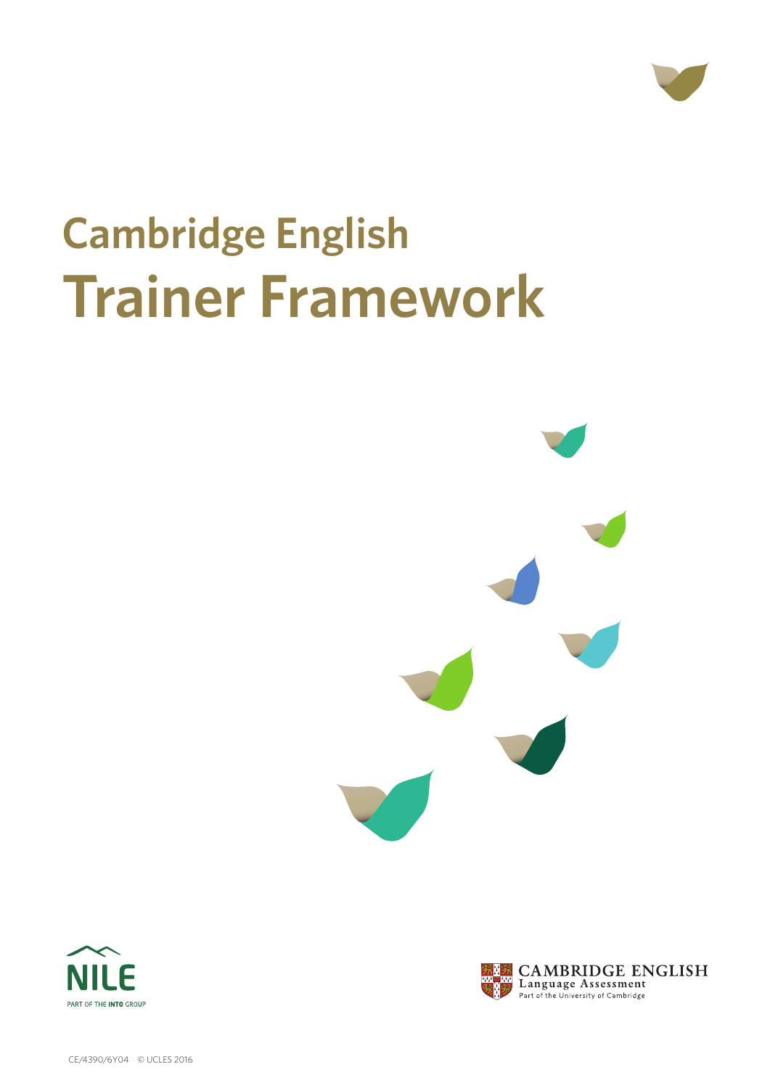

# **Cambridge English Trainer Framework**







CE/4390/6Y04 © UCLES 2016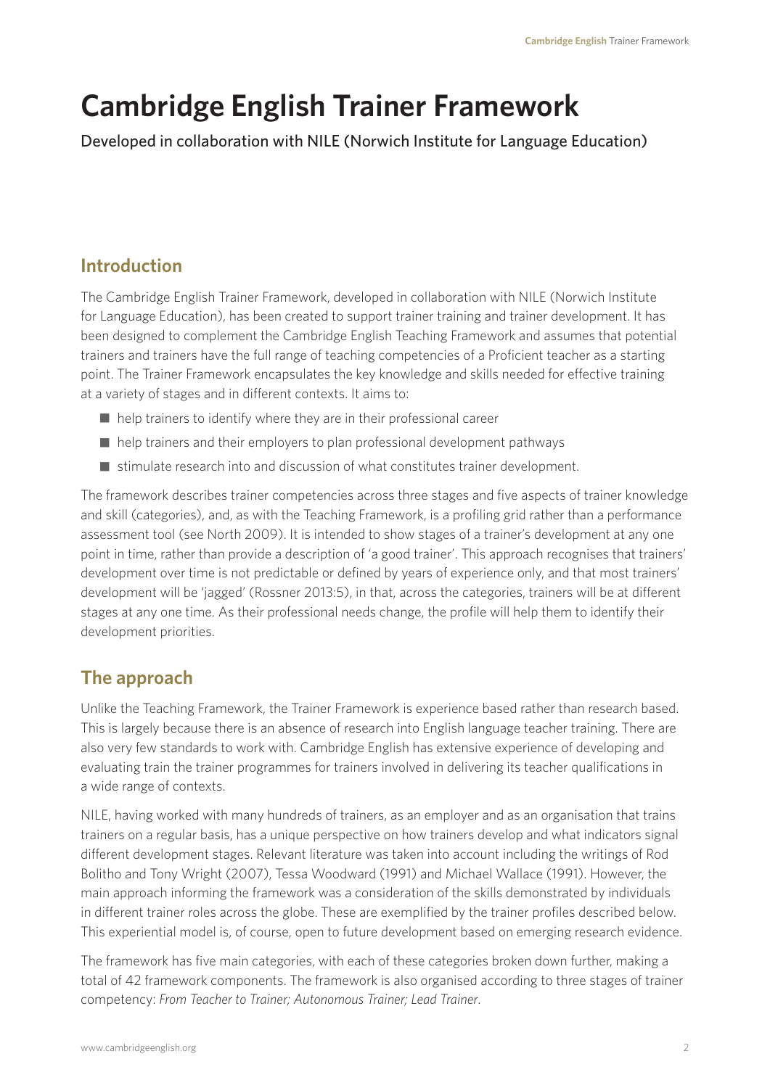# **Cambridge English Trainer Framework**

Developed in collaboration with NILE (Norwich Institute for Language Education)

# **Introduction**

The Cambridge English Trainer Framework, developed in collaboration with NILE (Norwich Institute for Language Education), has been created to support trainer training and trainer development. It has been designed to complement the Cambridge English Teaching Framework and assumes that potential trainers and trainers have the full range of teaching competencies of a Proficient teacher as a starting point. The Trainer Framework encapsulates the key knowledge and skills needed for effective training at a variety of stages and in different contexts. It aims to:

- $\blacksquare$  help trainers to identify where they are in their professional career
- help trainers and their employers to plan professional development pathways
- $\blacksquare$  stimulate research into and discussion of what constitutes trainer development.

The framework describes trainer competencies across three stages and five aspects of trainer knowledge and skill (categories), and, as with the Teaching Framework, is a profiling grid rather than a performance assessment tool (see North 2009). It is intended to show stages of a trainer's development at any one point in time, rather than provide a description of 'a good trainer'. This approach recognises that trainers' development over time is not predictable or defined by years of experience only, and that most trainers' development will be 'jagged' (Rossner 2013:5), in that, across the categories, trainers will be at different stages at any one time. As their professional needs change, the profile will help them to identify their development priorities.

# **The approach**

Unlike the Teaching Framework, the Trainer Framework is experience based rather than research based. This is largely because there is an absence of research into English language teacher training. There are also very few standards to work with. Cambridge English has extensive experience of developing and evaluating train the trainer programmes for trainers involved in delivering its teacher qualifications in a wide range of contexts.

NILE, having worked with many hundreds of trainers, as an employer and as an organisation that trains trainers on a regular basis, has a unique perspective on how trainers develop and what indicators signal different development stages. Relevant literature was taken into account including the writings of Rod Bolitho and Tony Wright (2007), Tessa Woodward (1991) and Michael Wallace (1991). However, the main approach informing the framework was a consideration of the skills demonstrated by individuals in different trainer roles across the globe. These are exemplified by the trainer profiles described below. This experiential model is, of course, open to future development based on emerging research evidence.

The framework has five main categories, with each of these categories broken down further, making a total of 42 framework components. The framework is also organised according to three stages of trainer competency: *From Teacher to Trainer; Autonomous Trainer; Lead Trainer*.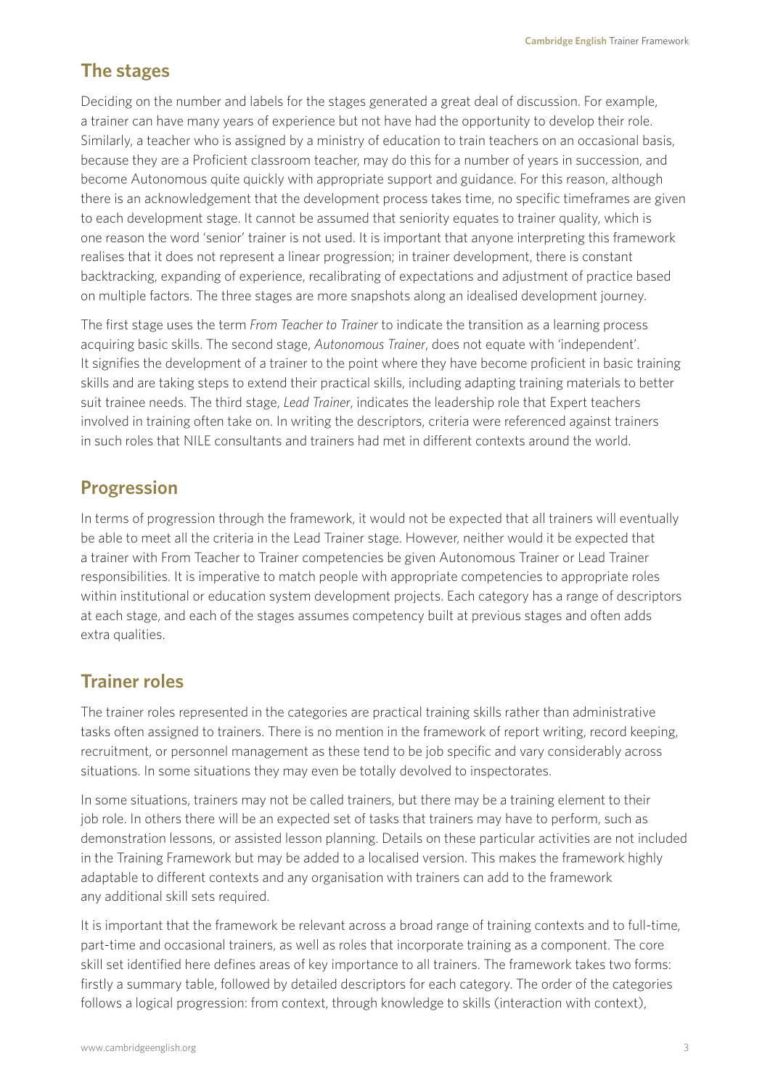# **The stages**

Deciding on the number and labels for the stages generated a great deal of discussion. For example, a trainer can have many years of experience but not have had the opportunity to develop their role. Similarly, a teacher who is assigned by a ministry of education to train teachers on an occasional basis, because they are a Proficient classroom teacher, may do this for a number of years in succession, and become Autonomous quite quickly with appropriate support and guidance. For this reason, although there is an acknowledgement that the development process takes time, no specific timeframes are given to each development stage. It cannot be assumed that seniority equates to trainer quality, which is one reason the word 'senior' trainer is not used. It is important that anyone interpreting this framework realises that it does not represent a linear progression; in trainer development, there is constant backtracking, expanding of experience, recalibrating of expectations and adjustment of practice based on multiple factors. The three stages are more snapshots along an idealised development journey.

The first stage uses the term *From Teacher to Trainer* to indicate the transition as a learning process acquiring basic skills. The second stage, *Autonomous Trainer*, does not equate with 'independent'. It signifies the development of a trainer to the point where they have become proficient in basic training skills and are taking steps to extend their practical skills, including adapting training materials to better suit trainee needs. The third stage, *Lead Trainer*, indicates the leadership role that Expert teachers involved in training often take on. In writing the descriptors, criteria were referenced against trainers in such roles that NILE consultants and trainers had met in different contexts around the world.

## **Progression**

In terms of progression through the framework, it would not be expected that all trainers will eventually be able to meet all the criteria in the Lead Trainer stage. However, neither would it be expected that a trainer with From Teacher to Trainer competencies be given Autonomous Trainer or Lead Trainer responsibilities. It is imperative to match people with appropriate competencies to appropriate roles within institutional or education system development projects. Each category has a range of descriptors at each stage, and each of the stages assumes competency built at previous stages and often adds extra qualities.

# **Trainer roles**

The trainer roles represented in the categories are practical training skills rather than administrative tasks often assigned to trainers. There is no mention in the framework of report writing, record keeping, recruitment, or personnel management as these tend to be job specific and vary considerably across situations. In some situations they may even be totally devolved to inspectorates.

In some situations, trainers may not be called trainers, but there may be a training element to their job role. In others there will be an expected set of tasks that trainers may have to perform, such as demonstration lessons, or assisted lesson planning. Details on these particular activities are not included in the Training Framework but may be added to a localised version. This makes the framework highly adaptable to different contexts and any organisation with trainers can add to the framework any additional skill sets required.

It is important that the framework be relevant across a broad range of training contexts and to full-time, part-time and occasional trainers, as well as roles that incorporate training as a component. The core skill set identified here defines areas of key importance to all trainers. The framework takes two forms: firstly a summary table, followed by detailed descriptors for each category. The order of the categories follows a logical progression: from context, through knowledge to skills (interaction with context),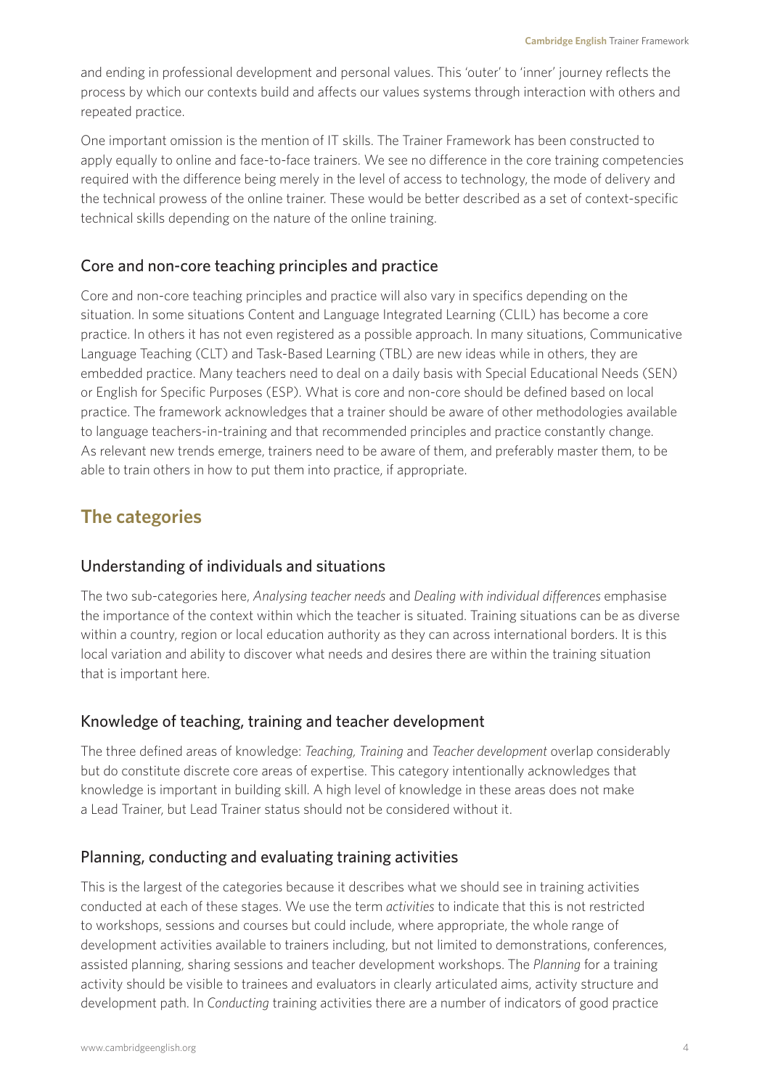and ending in professional development and personal values. This 'outer' to 'inner' journey reflects the process by which our contexts build and affects our values systems through interaction with others and repeated practice.

One important omission is the mention of IT skills. The Trainer Framework has been constructed to apply equally to online and face-to-face trainers. We see no difference in the core training competencies required with the difference being merely in the level of access to technology, the mode of delivery and the technical prowess of the online trainer. These would be better described as a set of context-specific technical skills depending on the nature of the online training.

#### Core and non-core teaching principles and practice

Core and non-core teaching principles and practice will also vary in specifics depending on the situation. In some situations Content and Language Integrated Learning (CLIL) has become a core practice. In others it has not even registered as a possible approach. In many situations, Communicative Language Teaching (CLT) and Task-Based Learning (TBL) are new ideas while in others, they are embedded practice. Many teachers need to deal on a daily basis with Special Educational Needs (SEN) or English for Specific Purposes (ESP). What is core and non-core should be defined based on local practice. The framework acknowledges that a trainer should be aware of other methodologies available to language teachers-in-training and that recommended principles and practice constantly change. As relevant new trends emerge, trainers need to be aware of them, and preferably master them, to be able to train others in how to put them into practice, if appropriate.

## **The categories**

#### Understanding of individuals and situations

The two sub-categories here, *Analysing teacher needs* and *Dealing with individual differences* emphasise the importance of the context within which the teacher is situated. Training situations can be as diverse within a country, region or local education authority as they can across international borders. It is this local variation and ability to discover what needs and desires there are within the training situation that is important here.

#### Knowledge of teaching, training and teacher development

The three defined areas of knowledge: *Teaching, Training* and *Teacher development* overlap considerably but do constitute discrete core areas of expertise. This category intentionally acknowledges that knowledge is important in building skill. A high level of knowledge in these areas does not make a Lead Trainer, but Lead Trainer status should not be considered without it.

#### Planning, conducting and evaluating training activities

This is the largest of the categories because it describes what we should see in training activities conducted at each of these stages. We use the term *activities* to indicate that this is not restricted to workshops, sessions and courses but could include, where appropriate, the whole range of development activities available to trainers including, but not limited to demonstrations, conferences, assisted planning, sharing sessions and teacher development workshops. The *Planning* for a training activity should be visible to trainees and evaluators in clearly articulated aims, activity structure and development path. In *Conducting* training activities there are a number of indicators of good practice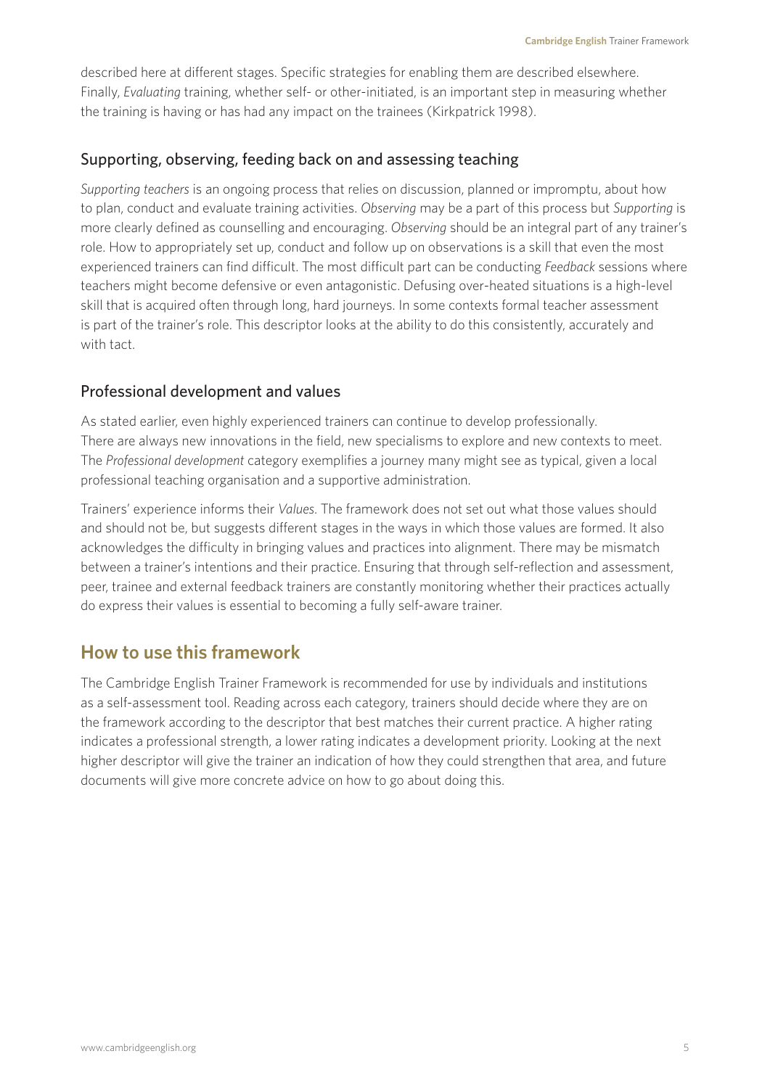described here at different stages. Specific strategies for enabling them are described elsewhere. Finally, *Evaluating* training, whether self- or other-initiated, is an important step in measuring whether the training is having or has had any impact on the trainees (Kirkpatrick 1998).

#### Supporting, observing, feeding back on and assessing teaching

*Supporting teachers* is an ongoing process that relies on discussion, planned or impromptu, about how to plan, conduct and evaluate training activities. *Observing* may be a part of this process but *Supporting* is more clearly defined as counselling and encouraging. *Observing* should be an integral part of any trainer's role. How to appropriately set up, conduct and follow up on observations is a skill that even the most experienced trainers can find difficult. The most difficult part can be conducting *Feedback* sessions where teachers might become defensive or even antagonistic. Defusing over-heated situations is a high-level skill that is acquired often through long, hard journeys. In some contexts formal teacher assessment is part of the trainer's role. This descriptor looks at the ability to do this consistently, accurately and with tact.

#### Professional development and values

As stated earlier, even highly experienced trainers can continue to develop professionally. There are always new innovations in the field, new specialisms to explore and new contexts to meet. The *Professional development* category exemplifies a journey many might see as typical, given a local professional teaching organisation and a supportive administration.

Trainers' experience informs their *Values*. The framework does not set out what those values should and should not be, but suggests different stages in the ways in which those values are formed. It also acknowledges the difficulty in bringing values and practices into alignment. There may be mismatch between a trainer's intentions and their practice. Ensuring that through self-reflection and assessment, peer, trainee and external feedback trainers are constantly monitoring whether their practices actually do express their values is essential to becoming a fully self-aware trainer.

#### **How to use this framework**

The Cambridge English Trainer Framework is recommended for use by individuals and institutions as a self-assessment tool. Reading across each category, trainers should decide where they are on the framework according to the descriptor that best matches their current practice. A higher rating indicates a professional strength, a lower rating indicates a development priority. Looking at the next higher descriptor will give the trainer an indication of how they could strengthen that area, and future documents will give more concrete advice on how to go about doing this.